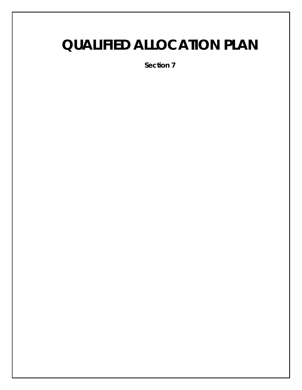# **QUALIFIED ALLOCATION PLAN**

**Section 7**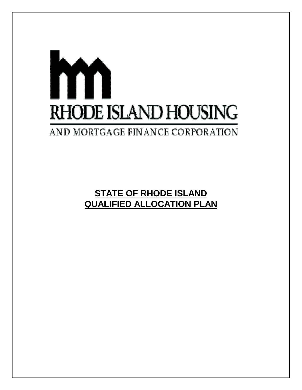# m **RHODE ISLAND HOUSING** AND MORTGAGE FINANCE CORPORATION

**STATE OF RHODE ISLAND QUALIFIED ALLOCATION PLAN**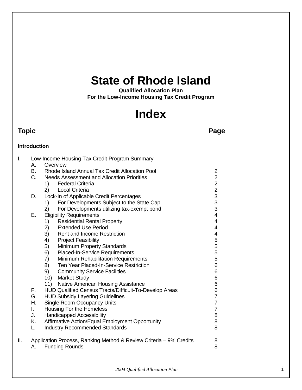# **State of Rhode Island**

**Qualified Allocation Plan For the Low-Income Housing Tax Credit Program**

# **Index**

# **Topic Page**

# **Introduction**

| I.  |              | Low-Income Housing Tax Credit Program Summary                      |                         |  |  |
|-----|--------------|--------------------------------------------------------------------|-------------------------|--|--|
|     | А.           | Overview                                                           |                         |  |  |
|     | <b>B.</b>    | Rhode Island Annual Tax Credit Allocation Pool                     |                         |  |  |
|     | $C_{1}$      | <b>Needs Assessment and Allocation Priorities</b>                  | $\overline{2}$          |  |  |
|     |              | <b>Federal Criteria</b><br>1)                                      | $\overline{c}$          |  |  |
|     |              | <b>Local Criteria</b><br>2)                                        |                         |  |  |
|     | D.           | Lock-In of Applicable Credit Percentages                           | $\frac{2}{3}$           |  |  |
|     |              | For Developments Subject to the State Cap<br>1)                    |                         |  |  |
|     |              | For Developments utilizing tax-exempt bond<br>2)                   | $\frac{3}{3}$           |  |  |
|     | Ε.           | <b>Eligibility Requirements</b>                                    | $\overline{4}$          |  |  |
|     |              | <b>Residential Rental Property</b><br>1)                           | $\overline{4}$          |  |  |
|     |              | <b>Extended Use Period</b><br>2)                                   | 4                       |  |  |
|     |              | 3)<br>Rent and Income Restriction                                  | $\overline{\mathbf{4}}$ |  |  |
|     |              | 4)<br><b>Project Feasibility</b>                                   | 5                       |  |  |
|     |              | 5)<br>Minimum Property Standards                                   | 5                       |  |  |
|     |              | Placed-In-Service Requirements<br>6)                               | 5                       |  |  |
|     |              | Minimum Rehabilitation Requirements<br>7)                          | 5                       |  |  |
|     |              | Ten Year Placed-In-Service Restriction<br>8)                       | 6                       |  |  |
|     |              | 9)<br><b>Community Service Facilities</b>                          | 6                       |  |  |
|     |              | 10)<br><b>Market Study</b>                                         | 6                       |  |  |
|     |              | 11) Native American Housing Assistance                             | 6                       |  |  |
|     | F.           | HUD Qualified Census Tracts/Difficult-To-Develop Areas             | 6                       |  |  |
|     | G.           | <b>HUD Subsidy Layering Guidelines</b>                             | $\overline{7}$          |  |  |
|     | Η.           | <b>Single Room Occupancy Units</b>                                 | $\overline{7}$          |  |  |
|     | $\mathbf{L}$ | Housing For the Homeless                                           | $\overline{7}$          |  |  |
|     | J.           | <b>Handicapped Accessibility</b>                                   | 8                       |  |  |
|     | Κ.           | Affirmative Action/Equal Employment Opportunity                    | 8                       |  |  |
|     | L.           | <b>Industry Recommended Standards</b>                              | 8                       |  |  |
| ΙΙ. |              | Application Process, Ranking Method & Review Criteria – 9% Credits | 8                       |  |  |
|     | А.           | <b>Funding Rounds</b>                                              | 8                       |  |  |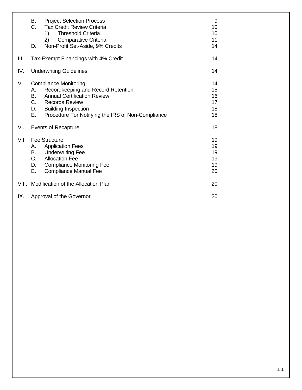|       | В.<br>C.<br>D.                             | <b>Project Selection Process</b><br><b>Tax Credit Review Criteria</b><br><b>Threshold Criteria</b><br>1)<br>2)<br>Comparative Criteria<br>Non-Profit Set-Aside, 9% Credits                                           | 9<br>10<br>10<br>11<br>14        |
|-------|--------------------------------------------|----------------------------------------------------------------------------------------------------------------------------------------------------------------------------------------------------------------------|----------------------------------|
| III.  | 14<br>Tax-Exempt Financings with 4% Credit |                                                                                                                                                                                                                      |                                  |
| IV.   | <b>Underwriting Guidelines</b>             |                                                                                                                                                                                                                      | 14                               |
| V.    | А.<br>B.<br>C.<br>D.<br>Е.                 | <b>Compliance Monitoring</b><br>Recordkeeping and Record Retention<br><b>Annual Certification Review</b><br><b>Records Review</b><br><b>Building Inspection</b><br>Procedure For Notifying the IRS of Non-Compliance | 14<br>15<br>16<br>17<br>18<br>18 |
| VI.   | <b>Events of Recapture</b>                 |                                                                                                                                                                                                                      | 18                               |
| VII.  | А.<br>В.<br>C.<br>D.<br>Е.                 | <b>Fee Structure</b><br><b>Application Fees</b><br><b>Underwriting Fee</b><br><b>Allocation Fee</b><br><b>Compliance Monitoring Fee</b><br><b>Compliance Manual Fee</b>                                              | 19<br>19<br>19<br>19<br>19<br>20 |
| VIII. | Modification of the Allocation Plan        |                                                                                                                                                                                                                      | 20                               |
| IX.   | Approval of the Governor                   |                                                                                                                                                                                                                      | 20                               |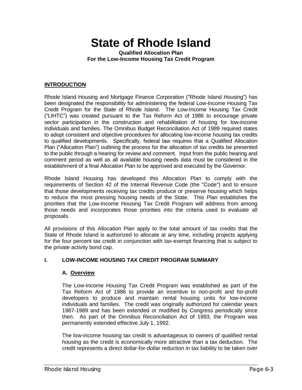# **State of Rhode Island**

**Qualified Allocation Plan For the Low-Income Housing Tax Credit Program**

#### **INTRODUCTION**

Rhode Island Housing and Mortgage Finance Corporation ("Rhode Island Housing") has been designated the responsibility for administering the federal Low-Income Housing Tax Credit Program for the State of Rhode Island. The Low-Income Housing Tax Credit ("LIHTC") was created pursuant to the Tax Reform Act of 1986 to encourage private sector participation in the construction and rehabilitation of housing for low-income individuals and families. The Omnibus Budget Reconciliation Act of 1989 required states to adopt consistent and objective procedures for allocating low-income housing tax credits to qualified developments. Specifically, federal law requires that a Qualified Allocation Plan ("Allocation Plan") outlining the process for the allocation of tax credits be presented to the public through a hearing for review and comment. Input from the public hearing and comment period as well as all available housing needs data must be considered in the establishment of a final Allocation Plan to be approved and executed by the Governor.

Rhode Island Housing has developed this Allocation Plan to comply with the requirements of Section 42 of the Internal Revenue Code (the "Code") and to ensure that those developments receiving tax credits produce or preserve housing which helps to reduce the most pressing housing needs of the State. This Plan establishes the priorities that the Low-Income Housing Tax Credit Program will address from among those needs and incorporates those priorities into the criteria used to evaluate all proposals.

All provisions of this Allocation Plan apply to the total amount of tax credits that the State of Rhode Island is authorized to allocate at any time, including projects applying for the four percent tax credit in conjunction with tax-exempt financing that is subject to the private activity bond cap.

#### **I. LOW-INCOME HOUSING TAX CREDIT PROGRAM SUMMARY**

#### **A. Overview**

The Low-Income Housing Tax Credit Program was established as part of the Tax Reform Act of 1986 to provide an incentive to non-profit and for-profit developers to produce and maintain rental housing units for low-income individuals and families. The credit was originally authorized for calendar years 1987-1989 and has been extended or modified by Congress periodically since then. As part of the Omnibus Reconciliation Act of 1993, the Program was permanently extended effective July 1, 1992.

The low-income housing tax credit is advantageous to owners of qualified rental housing as the credit is economically more attractive than a tax deduction. The credit represents a direct dollar-for-dollar reduction in tax liability to be taken over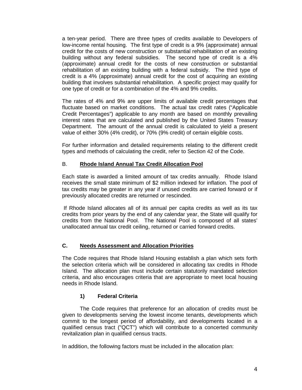a ten-year period. There are three types of credits available to Developers of low-income rental housing. The first type of credit is a 9% (approximate) annual credit for the costs of new construction or substantial rehabilitation of an existing building without any federal subsidies. The second type of credit is a 4% (approximate) annual credit for the costs of new construction or substantial rehabilitation of an existing building with a federal subsidy. The third type of credit is a 4% (approximate) annual credit for the cost of acquiring an existing building that involves substantial rehabilitation. A specific project may qualify for one type of credit or for a combination of the 4% and 9% credits.

The rates of 4% and 9% are upper limits of available credit percentages that fluctuate based on market conditions. The actual tax credit rates ("Applicable Credit Percentages") applicable to any month are based on monthly prevailing interest rates that are calculated and published by the United States Treasury Department. The amount of the annual credit is calculated to yield a present value of either 30% (4% credit), or 70% (9% credit) of certain eligible costs.

For further information and detailed requirements relating to the different credit types and methods of calculating the credit, refer to Section 42 of the Code.

#### B. **Rhode Island Annual Tax Credit Allocation Pool**

Each state is awarded a limited amount of tax credits annually. Rhode Island receives the small state minimum of \$2 million indexed for inflation. The pool of tax credits may be greater in any year if unused credits are carried forward or if previously allocated credits are returned or rescinded.

 If Rhode Island allocates all of its annual per capita credits as well as its tax credits from prior years by the end of any calendar year, the State will qualify for credits from the National Pool. The National Pool is composed of all states' unallocated annual tax credit ceiling, returned or carried forward credits.

#### **C. Needs Assessment and Allocation Priorities**

The Code requires that Rhode Island Housing establish a plan which sets forth the selection criteria which will be considered in allocating tax credits in Rhode Island. The allocation plan must include certain statutorily mandated selection criteria, and also encourages criteria that are appropriate to meet local housing needs in Rhode Island.

# **1) Federal Criteria**

The Code requires that preference for an allocation of credits must be given to developments serving the lowest income tenants, developments which commit to the longest period of affordability, and developments located in a qualified census tract ("QCT") which will contribute to a concerted community revitalization plan in qualified census tracts.

In addition, the following factors must be included in the allocation plan: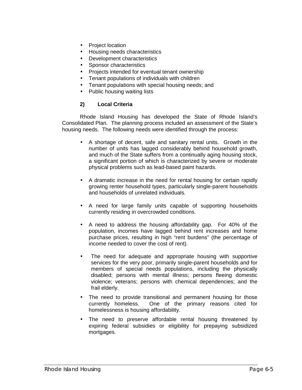- Project location
- Housing needs characteristics
- Development characteristics
- Sponsor characteristics
- Projects intended for eventual tenant ownership
- Tenant populations of individuals with children
- Tenant populations with special housing needs; and
- Public housing waiting lists

#### **2) Local Criteria**

Rhode Island Housing has developed the State of Rhode Island's Consolidated Plan. The planning process included an assessment of the State's housing needs. The following needs were identified through the process:

- A shortage of decent, safe and sanitary rental units. Growth in the number of units has lagged considerably behind household growth, and much of the State suffers from a continually aging housing stock, a significant portion of which is characterized by severe or moderate physical problems such as lead-based paint hazards.
- A dramatic increase in the need for rental housing for certain rapidly growing renter household types, particularly single-parent households and households of unrelated individuals.
- A need for large family units capable of supporting households currently residing in overcrowded conditions.
- A need to address the housing affordability gap. For 40% of the population, incomes have lagged behind rent increases and home purchase prices, resulting in high "rent burdens" (the percentage of income needed to cover the cost of rent).
- The need for adequate and appropriate housing with supportive services for the very poor, primarily single-parent households and for members of special needs populations, including the physically disabled; persons with mental illness; persons fleeing domestic violence; veterans; persons with chemical dependencies; and the frail elderly.
- The need to provide transitional and permanent housing for those currently homeless. One of the primary reasons cited for One of the primary reasons cited for homelessness is housing affordability.
- The need to preserve affordable rental housing threatened by expiring federal subsidies or eligibility for prepaying subsidized mortgages.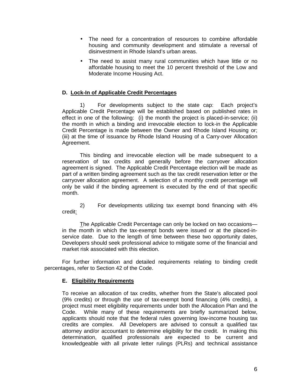- The need for a concentration of resources to combine affordable housing and community development and stimulate a reversal of disinvestment in Rhode Island's urban areas.
- The need to assist many rural communities which have little or no affordable housing to meet the 10 percent threshold of the Low and Moderate Income Housing Act.

#### **D. Lock-In of Applicable Credit Percentages**

1) For developments subject to the state cap: Each project's Applicable Credit Percentage will be established based on published rates in effect in one of the following: (i) the month the project is placed-in-service; (ii) the month in which a binding and irrevocable election to lock-in the Applicable Credit Percentage is made between the Owner and Rhode Island Housing or; (iii) at the time of issuance by Rhode Island Housing of a Carry-over Allocation Agreement.

This binding and irrevocable election will be made subsequent to a reservation of tax credits and generally before the carryover allocation agreement is signed. The Applicable Credit Percentage election will be made as part of a written binding agreement such as the tax credit reservation letter or the carryover allocation agreement. A selection of a monthly credit percentage will only be valid if the binding agreement is executed by the end of that specific month.

2) For developments utilizing tax exempt bond financing with 4% credit:

The Applicable Credit Percentage can only be locked on two occasions in the month in which the tax-exempt bonds were issued or at the placed-inservice date. Due to the length of time between these two opportunity dates, Developers should seek professional advice to mitigate some of the financial and market risk associated with this election.

For further information and detailed requirements relating to binding credit percentages, refer to Section 42 of the Code.

#### **E. Eligibility Requirements**

To receive an allocation of tax credits, whether from the State's allocated pool (9% credits) or through the use of tax-exempt bond financing (4% credits), a project must meet eligibility requirements under both the Allocation Plan and the Code. While many of these requirements are briefly summarized below, applicants should note that the federal rules governing low-income housing tax credits are complex. All Developers are advised to consult a qualified tax attorney and/or accountant to determine eligibility for the credit. In making this determination, qualified professionals are expected to be current and knowledgeable with all private letter rulings (PLRs) and technical assistance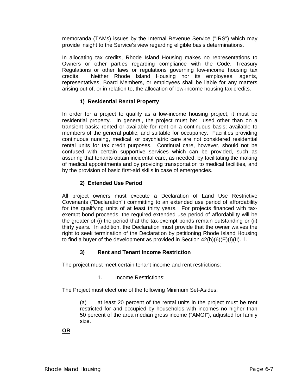memoranda (TAMs) issues by the Internal Revenue Service ("IRS") which may provide insight to the Service's view regarding eligible basis determinations.

In allocating tax credits, Rhode Island Housing makes no representations to Owners or other parties regarding compliance with the Code, Treasury Regulations or other laws or regulations governing low-income housing tax credits. Neither Rhode Island Housing nor its employees, agents, representatives, Board Members, or employees shall be liable for any matters arising out of, or in relation to, the allocation of low-income housing tax credits.

# **1) Residential Rental Property**

In order for a project to qualify as a low-income housing project, it must be residential property. In general, the project must be: used other than on a transient basis; rented or available for rent on a continuous basis; available to members of the general public; and suitable for occupancy. Facilities providing continuous nursing, medical, or psychiatric care are not considered residential rental units for tax credit purposes. Continual care, however, should not be confused with certain supportive services which can be provided, such as assuring that tenants obtain incidental care, as needed, by facilitating the making of medical appointments and by providing transportation to medical facilities, and by the provision of basic first-aid skills in case of emergencies.

# **2) Extended Use Period**

All project owners must execute a Declaration of Land Use Restrictive Covenants ("Declaration") committing to an extended use period of affordability for the qualifying units of at least thirty years. For projects financed with taxexempt bond proceeds, the required extended use period of affordability will be the greater of (i) the period that the tax-exempt bonds remain outstanding or (ii) thirty years. In addition, the Declaration must provide that the owner waives the right to seek termination of the Declaration by petitioning Rhode Island Housing to find a buyer of the development as provided in Section 42(h)(6)(E)(I)(II). l.

# **3) Rent and Tenant Income Restriction**

The project must meet certain tenant income and rent restrictions:

1. Income Restrictions:

The Project must elect one of the following Minimum Set-Asides:

(a) at least 20 percent of the rental units in the project must be rent restricted for and occupied by households with incomes no higher than 50 percent of the area median gross income ("AMGI"), adjusted for family size.

# **OR**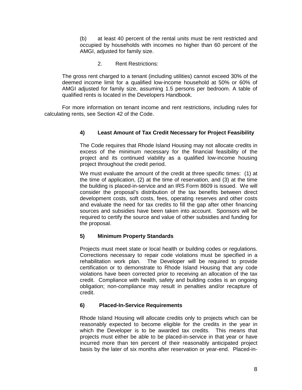(b) at least 40 percent of the rental units must be rent restricted and occupied by households with incomes no higher than 60 percent of the AMGI, adjusted for family size.

2. Rent Restrictions:

The gross rent charged to a tenant (including utilities) cannot exceed 30% of the deemed income limit for a qualified low-income household at 50% or 60% of AMGI adjusted for family size, assuming 1.5 persons per bedroom. A table of qualified rents is located in the Developers Handbook.

For more information on tenant income and rent restrictions, including rules for calculating rents, see Section 42 of the Code.

#### **4) Least Amount of Tax Credit Necessary for Project Feasibility**

The Code requires that Rhode Island Housing may not allocate credits in excess of the minimum necessary for the financial feasibility of the project and its continued viability as a qualified low-income housing project throughout the credit period.

We must evaluate the amount of the credit at three specific times: (1) at the time of application, (2) at the time of reservation, and (3) at the time the building is placed-in-service and an IRS Form 8609 is issued. We will consider the proposal's distribution of the tax benefits between direct development costs, soft costs, fees, operating reserves and other costs and evaluate the need for tax credits to fill the gap after other financing sources and subsidies have been taken into account. Sponsors will be required to certify the source and value of other subsidies and funding for the proposal.

#### **5) Minimum Property Standards**

Projects must meet state or local health or building codes or regulations. Corrections necessary to repair code violations must be specified in a rehabilitation work plan. The Developer will be required to provide certification or to demonstrate to Rhode Island Housing that any code violations have been corrected prior to receiving an allocation of the tax credit. Compliance with health, safety and building codes is an ongoing obligation; non-compliance may result in penalties and/or recapture of credit.

#### **6) Placed-In-Service Requirements**

Rhode Island Housing will allocate credits only to projects which can be reasonably expected to become eligible for the credits in the year in which the Developer is to be awarded tax credits. This means that projects must either be able to be placed-in-service in that year or have incurred more than ten percent of their reasonably anticipated project basis by the later of six months after reservation or year-end. Placed-in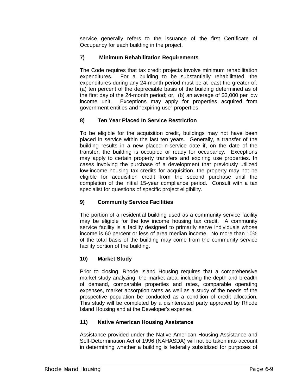service generally refers to the issuance of the first Certificate of Occupancy for each building in the project.

# **7) Minimum Rehabilitation Requirements**

The Code requires that tax credit projects involve minimum rehabilitation expenditures. For a building to be substantially rehabilitated, the expenditures during any 24-month period must be at least the greater of: (a) ten percent of the depreciable basis of the building determined as of the first day of the 24-month period; or, (b) an average of \$3,000 per low income unit. Exceptions may apply for properties acquired from government entities and "expiring use" properties.

# **8) Ten Year Placed In Service Restriction**

To be eligible for the acquisition credit, buildings may not have been placed in service within the last ten years. Generally, a transfer of the building results in a new placed-in-service date if, on the date of the transfer, the building is occupied or ready for occupancy. Exceptions may apply to certain property transfers and expiring use properties. In cases involving the purchase of a development that previously utilized low-income housing tax credits for acquisition, the property may not be eligible for acquisition credit from the second purchase until the completion of the initial 15-year compliance period. Consult with a tax specialist for questions of specific project eligibility.

# **9) Community Service Facilities**

The portion of a residential building used as a community service facility may be eligible for the low income housing tax credit. A community service facility is a facility designed to primarily serve individuals whose income is 60 percent or less of area median income. No more than 10% of the total basis of the building may come from the community service facility portion of the building.

# **10) Market Study**

Prior to closing, Rhode Island Housing requires that a comprehensive market study analyzing the market area, including the depth and breadth of demand, comparable properties and rates, comparable operating expenses, market absorption rates as well as a study of the needs of the prospective population be conducted as a condition of credit allocation. This study will be completed by a disinterested party approved by Rhode Island Housing and at the Developer's expense.

# **11) Native American Housing Assistance**

Assistance provided under the Native American Housing Assistance and Self-Determination Act of 1996 (NAHASDA) will not be taken into account in determining whether a building is federally subsidized for purposes of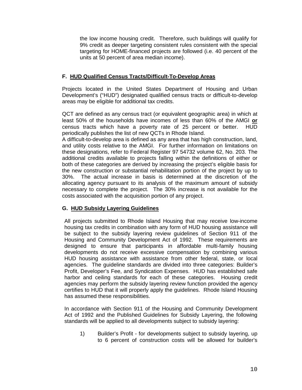the low income housing credit. Therefore, such buildings will qualify for 9% credit as deeper targeting consistent rules consistent with the special targeting for HOME-financed projects are followed (i.e. 40 percent of the units at 50 percent of area median income).

#### **F. HUD Qualified Census Tracts/Difficult-To-Develop Areas**

Projects located in the United States Department of Housing and Urban Development's ("HUD") designated qualified census tracts or difficult-to-develop areas may be eligible for additional tax credits.

QCT are defined as any census tract (or equivalent geographic area) in which at least 50% of the households have incomes of less than 60% of the AMGI **or** census tracts which have a poverty rate of 25 percent or better. HUD periodically publishes the list of new QCTs in Rhode Island.

A difficult-to-develop area is defined as any area that has high construction, land, and utility costs relative to the AMGI. For further information on limitations on these designations, refer to Federal Register 97 54732 volume 62, No. 203. The additional credits available to projects falling within the definitions of either or both of these categories are derived by increasing the project's eligible basis for the new construction or substantial rehabilitation portion of the project by up to 30%. The actual increase in basis is determined at the discretion of the allocating agency pursuant to its analysis of the maximum amount of subsidy necessary to complete the project. The 30% increase is not available for the costs associated with the acquisition portion of any project.

#### **G. HUD Subsidy Layering Guidelines**

All projects submitted to Rhode Island Housing that may receive low-income housing tax credits in combination with any form of HUD housing assistance will be subject to the subsidy layering review guidelines of Section 911 of the Housing and Community Development Act of 1992. These requirements are designed to ensure that participants in affordable multi-family housing developments do not receive excessive compensation by combining various HUD housing assistance with assistance from other federal, state, or local agencies. The guideline standards are divided into three categories: Builder's Profit, Developer's Fee, and Syndication Expenses. HUD has established safe harbor and ceiling standards for each of these categories. Housing credit agencies may perform the subsidy layering review function provided the agency certifies to HUD that it will properly apply the guidelines. Rhode Island Housing has assumed these responsibilities.

In accordance with Section 911 of the Housing and Community Development Act of 1992 and the Published Guidelines for Subsidy Layering, the following standards will be applied to all developments subject to subsidy layering:

1) Builder's Profit - for developments subject to subsidy layering, up to 6 percent of construction costs will be allowed for builder's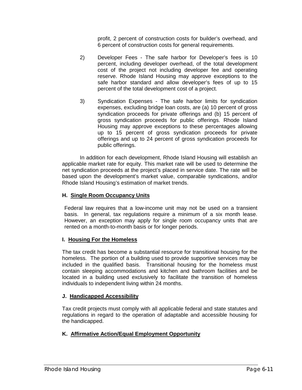profit, 2 percent of construction costs for builder's overhead, and 6 percent of construction costs for general requirements.

- 2) Developer Fees The safe harbor for Developer's fees is 10 percent, including developer overhead, of the total development cost of the project not including developer fee and operating reserve. Rhode Island Housing may approve exceptions to the safe harbor standard and allow developer's fees of up to 15 percent of the total development cost of a project.
- 3) Syndication Expenses The safe harbor limits for syndication expenses, excluding bridge loan costs, are (a) 10 percent of gross syndication proceeds for private offerings and (b) 15 percent of gross syndication proceeds for public offerings. Rhode Island Housing may approve exceptions to these percentages allowing up to 15 percent of gross syndication proceeds for private offerings and up to 24 percent of gross syndication proceeds for public offerings.

In addition for each development, Rhode Island Housing will establish an applicable market rate for equity. This market rate will be used to determine the net syndication proceeds at the project's placed in service date. The rate will be based upon the development's market value, comparable syndications, and/or Rhode Island Housing's estimation of market trends.

#### **H. Single Room Occupancy Units**

Federal law requires that a low-income unit may not be used on a transient basis. In general, tax regulations require a minimum of a six month lease. However, an exception may apply for single room occupancy units that are rented on a month-to-month basis or for longer periods.

#### **I. Housing For the Homeless**

The tax credit has become a substantial resource for transitional housing for the homeless. The portion of a building used to provide supportive services may be included in the qualified basis. Transitional housing for the homeless must contain sleeping accommodations and kitchen and bathroom facilities and be located in a building used exclusively to facilitate the transition of homeless individuals to independent living within 24 months.

#### **J. Handicapped Accessibility**

Tax credit projects must comply with all applicable federal and state statutes and regulations in regard to the operation of adaptable and accessible housing for the handicapped.

#### **K. Affirmative Action/Equal Employment Opportunity**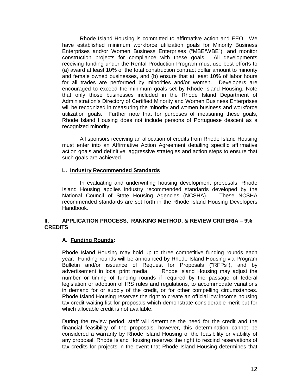Rhode Island Housing is committed to affirmative action and EEO. We have established minimum workforce utilization goals for Minority Business Enterprises and/or Women Business Enterprises ("MBE/WBE"), and monitor construction projects for compliance with these goals. All developments receiving funding under the Rental Production Program must use best efforts to (a) award at least 10% of the total construction contract dollar amount to minority and female owned businesses, and (b) ensure that at least 10% of labor hours for all trades are performed by minorities and/or women. Developers are encouraged to exceed the minimum goals set by Rhode Island Housing. Note that only those businesses included in the Rhode Island Department of Administration's Directory of Certified Minority and Women Business Enterprises will be recognized in measuring the minority and women business and workforce utilization goals. Further note that for purposes of measuring these goals, Rhode Island Housing does not include persons of Portuguese descent as a recognized minority.

All sponsors receiving an allocation of credits from Rhode Island Housing must enter into an Affirmative Action Agreement detailing specific affirmative action goals and definitive, aggressive strategies and action steps to ensure that such goals are achieved.

#### **L. Industry Recommended Standards**

In evaluating and underwriting housing development proposals, Rhode Island Housing applies industry recommended standards developed by the National Council of State Housing Agencies (NCSHA). These NCSHA recommended standards are set forth in the Rhode Island Housing Developers Handbook.

#### **II. APPLICATION PROCESS, RANKING METHOD, & REVIEW CRITERIA – 9% CREDITS**

#### **A. Funding Rounds:**

Rhode Island Housing may hold up to three competitive funding rounds each year. Funding rounds will be announced by Rhode Island Housing via Program Bulletin and/or issuance of Request for Proposals ("RFPs"), and by advertisement in local print media. Rhode Island Housing may adjust the number or timing of funding rounds if required by the passage of federal legislation or adoption of IRS rules and regulations, to accommodate variations in demand for or supply of the credit, or for other compelling circumstances. Rhode Island Housing reserves the right to create an official low income housing tax credit waiting list for proposals which demonstrate considerable merit but for which allocable credit is not available.

During the review period, staff will determine the need for the credit and the financial feasibility of the proposals; however, this determination cannot be considered a warranty by Rhode Island Housing of the feasibility or viability of any proposal. Rhode Island Housing reserves the right to rescind reservations of tax credits for projects in the event that Rhode Island Housing determines that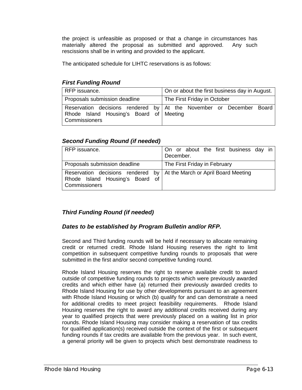the project is unfeasible as proposed or that a change in circumstances has materially altered the proposal as submitted and approved. Any such rescissions shall be in writing and provided to the applicant.

The anticipated schedule for LIHTC reservations is as follows:

# *First Funding Round*

| RFP issuance.                                                   | On or about the first business day in August.                       |  |  |
|-----------------------------------------------------------------|---------------------------------------------------------------------|--|--|
| Proposals submission deadline                                   | The First Friday in October                                         |  |  |
| Rhode Island Housing's Board of Meeting<br><b>Commissioners</b> | Reservation decisions rendered by At the November or December Board |  |  |

# *Second Funding Round (if needed)*

| RFP issuance.                                                                                                             | On or about the first business day in<br>December. |  |  |
|---------------------------------------------------------------------------------------------------------------------------|----------------------------------------------------|--|--|
| Proposals submission deadline                                                                                             | The First Friday in February                       |  |  |
| Reservation decisions rendered by At the March or April Board Meeting<br>Rhode Island Housing's Board of<br>Commissioners |                                                    |  |  |

# *Third Funding Round (if needed)*

# *Dates to be established by Program Bulletin and/or RFP.*

Second and Third funding rounds will be held if necessary to allocate remaining credit or returned credit. Rhode Island Housing reserves the right to limit competition in subsequent competitive funding rounds to proposals that were submitted in the first and/or second competitive funding round.

Rhode Island Housing reserves the right to reserve available credit to award outside of competitive funding rounds to projects which were previously awarded credits and which either have (a) returned their previously awarded credits to Rhode Island Housing for use by other developments pursuant to an agreement with Rhode Island Housing or which (b) qualify for and can demonstrate a need for additional credits to meet project feasibility requirements. Rhode Island Housing reserves the right to award any additional credits received during any year to qualified projects that were previously placed on a waiting list in prior rounds. Rhode Island Housing may consider making a reservation of tax credits for qualified application(s) received outside the context of the first or subsequent funding rounds if tax credits are available from the previous year. In such event, a general priority will be given to projects which best demonstrate readiness to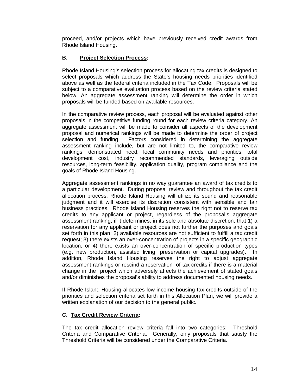proceed, and/or projects which have previously received credit awards from Rhode Island Housing.

#### **B. Project Selection Process:**

Rhode Island Housing's selection process for allocating tax credits is designed to select proposals which address the State's housing needs priorities identified above as well as the federal criteria included in the Tax Code. Proposals will be subject to a comparative evaluation process based on the review criteria stated below. An aggregate assessment ranking will determine the order in which proposals will be funded based on available resources.

In the comparative review process, each proposal will be evaluated against other proposals in the competitive funding round for each review criteria category. An aggregate assessment will be made to consider all aspects of the development proposal and numerical rankings will be made to determine the order of project selection and funding. Factors considered in determining the aggregate assessment ranking include, but are not limited to, the comparative review rankings, demonstrated need, local community needs and priorities, total development cost, industry recommended standards, leveraging outside resources, long-term feasibility, application quality, program compliance and the goals of Rhode Island Housing.

Aggregate assessment rankings in no way guarantee an award of tax credits to a particular development. During proposal review and throughout the tax credit allocation process, Rhode Island Housing will utilize its sound and reasonable judgment and it will exercise its discretion consistent with sensible and fair business practices. Rhode Island Housing reserves the right not to reserve tax credits to any applicant or project, regardless of the proposal's aggregate assessment ranking, if it determines, in its sole and absolute discretion, that 1) a reservation for any applicant or project does not further the purposes and goals set forth in this plan; 2) available resources are not sufficient to fulfill a tax credit request; 3) there exists an over-concentration of projects in a specific geographic location; or 4) there exists an over-concentration of specific production types (e.g. new production, assisted living, preservation or capital upgrades). In addition, Rhode Island Housing reserves the right to adjust aggregate assessment rankings or rescind a reservation of tax credits if there is a material change in the project which adversely affects the achievement of stated goals and/or diminishes the proposal's ability to address documented housing needs.

If Rhode Island Housing allocates low income housing tax credits outside of the priorities and selection criteria set forth in this Allocation Plan, we will provide a written explanation of our decision to the general public.

#### **C. Tax Credit Review Criteria:**

The tax credit allocation review criteria fall into two categories: Threshold Criteria and Comparative Criteria. Generally, only proposals that satisfy the Threshold Criteria will be considered under the Comparative Criteria.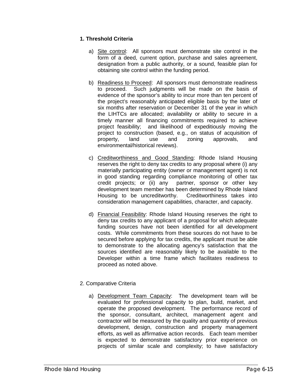# **1. Threshold Criteria**

- a) Site control: All sponsors must demonstrate site control in the form of a deed, current option, purchase and sales agreement, designation from a public authority, or a sound, feasible plan for obtaining site control within the funding period.
- b) Readiness to Proceed: All sponsors must demonstrate readiness to proceed. Such judgments will be made on the basis of evidence of the sponsor's ability to incur more than ten percent of the project's reasonably anticipated eligible basis by the later of six months after reservation or December 31 of the year in which the LIHTCs are allocated; availability or ability to secure in a timely manner all financing commitments required to achieve project feasibility; and likelihood of expeditiously moving the project to construction (based, e.g., on status of acquisition of property, land use and zoning approvals, and environmental/historical reviews).
- c) Creditworthiness and Good Standing: Rhode Island Housing reserves the right to deny tax credits to any proposal where (i) any materially participating entity (owner or management agent) is not in good standing regarding compliance monitoring of other tax credit projects; or (ii) any partner, sponsor or other key development team member has been determined by Rhode Island Housing to be uncreditworthy. Creditworthiness takes into consideration management capabilities, character, and capacity.
- d) Financial Feasibility: Rhode Island Housing reserves the right to deny tax credits to any applicant of a proposal for which adequate funding sources have not been identified for all development costs. While commitments from these sources do not have to be secured before applying for tax credits, the applicant must be able to demonstrate to the allocating agency's satisfaction that the sources identified are reasonably likely to be available to the Developer within a time frame which facilitates readiness to proceed as noted above.
- 2. Comparative Criteria
	- a) Development Team Capacity: The development team will be evaluated for professional capacity to plan, build, market, and operate the proposed development. The performance record of the sponsor, consultant, architect, management agent and contractor will be measured by the quality and quantity of previous development, design, construction and property management efforts, as well as affirmative action records. Each team member is expected to demonstrate satisfactory prior experience on projects of similar scale and complexity; to have satisfactory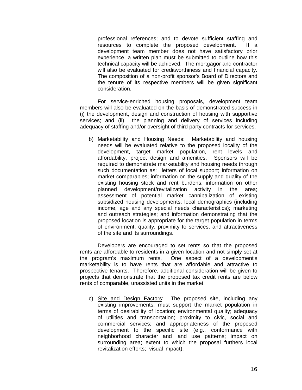professional references; and to devote sufficient staffing and resources to complete the proposed development. If a development team member does not have satisfactory prior experience, a written plan must be submitted to outline how this technical capacity will be achieved. The mortgagor and contractor will also be evaluated for creditworthiness and financial capacity. The composition of a non-profit sponsor's Board of Directors and the tenure of its respective members will be given significant consideration.

For service-enriched housing proposals, development team members will also be evaluated on the basis of demonstrated success in (i) the development, design and construction of housing with supportive services; and (ii) the planning and delivery of services including adequacy of staffing and/or oversight of third party contracts for services.

b) Marketability and Housing Needs: Marketability and housing needs will be evaluated relative to the proposed locality of the development, target market population, rent levels and affordability, project design and amenities. Sponsors will be required to demonstrate marketability and housing needs through such documentation as: letters of local support; information on market comparables; information on the supply and quality of the existing housing stock and rent burdens; information on other planned development/revitalization activity in the area; assessment of potential market cannibalization of existing subsidized housing developments; local demographics (including income, age and any special needs characteristics); marketing and outreach strategies; and information demonstrating that the proposed location is appropriate for the target population in terms of environment, quality, proximity to services, and attractiveness of the site and its surroundings.

Developers are encouraged to set rents so that the proposed rents are affordable to residents in a given location and not simply set at the program's maximum rents. One aspect of a development's marketability is to have rents that are affordable and attractive to prospective tenants. Therefore, additional consideration will be given to projects that demonstrate that the proposed tax credit rents are below rents of comparable, unassisted units in the market.

c) Site and Design Factors: The proposed site, including any existing improvements, must support the market population in terms of desirability of location; environmental quality; adequacy of utilities and transportation; proximity to civic, social and commercial services; and appropriateness of the proposed development to the specific site (e.g., conformance with neighborhood character and land use patterns; impact on surrounding area; extent to which the proposal furthers local revitalization efforts; visual impact).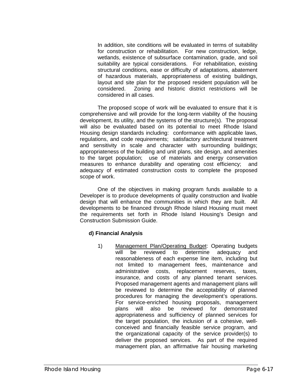In addition, site conditions will be evaluated in terms of suitability for construction or rehabilitation. For new construction, ledge, wetlands, existence of subsurface contamination, grade, and soil suitability are typical considerations. For rehabilitation, existing structural conditions, ease or difficulty of adaptations, abatement of hazardous materials, appropriateness of existing buildings, layout and site plan for the proposed resident population will be considered. Zoning and historic district restrictions will be considered in all cases.

The proposed scope of work will be evaluated to ensure that it is comprehensive and will provide for the long-term viability of the housing development, its utility, and the systems of the structure(s). The proposal will also be evaluated based on its potential to meet Rhode Island Housing design standards including: conformance with applicable laws, regulations, and code requirements; satisfactory architectural treatment and sensitivity in scale and character with surrounding buildings; appropriateness of the building and unit plans, site design, and amenities to the target population; use of materials and energy conservation measures to enhance durability and operating cost efficiency; and adequacy of estimated construction costs to complete the proposed scope of work.

One of the objectives in making program funds available to a Developer is to produce developments of quality construction and livable design that will enhance the communities in which they are built. All developments to be financed through Rhode Island Housing must meet the requirements set forth in Rhode Island Housing's Design and Construction Submission Guide.

#### **d) Financial Analysis**

1) Management Plan/Operating Budget: Operating budgets will be reviewed to determine adequacy and reasonableness of each expense line item, including but not limited to management fees, maintenance and administrative costs, replacement reserves, taxes, insurance, and costs of any planned tenant services. Proposed management agents and management plans will be reviewed to determine the acceptability of planned procedures for managing the development's operations. For service-enriched housing proposals, management plans will also be reviewed for demonstrated appropriateness and sufficiency of planned services for the target population, the inclusion of a cohesive, wellconceived and financially feasible service program, and the organizational capacity of the service provider(s) to deliver the proposed services. As part of the required management plan, an affirmative fair housing marketing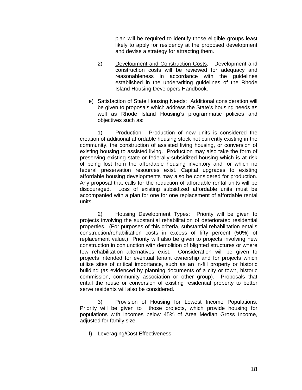plan will be required to identify those eligible groups least likely to apply for residency at the proposed development and devise a strategy for attracting them.

- 2) Development and Construction Costs: Development and construction costs will be reviewed for adequacy and reasonableness in accordance with the guidelines established in the underwriting guidelines of the Rhode Island Housing Developers Handbook.
- e) Satisfaction of State Housing Needs: Additional consideration will be given to proposals which address the State's housing needs as well as Rhode Island Housing's programmatic policies and objectives such as:

1) Production: Production of new units is considered the creation of additional affordable housing stock not currently existing in the community, the construction of assisted living housing, or conversion of existing housing to assisted living. Production may also take the form of preserving existing state or federally-subsidized housing which is at risk of being lost from the affordable housing inventory and for which no federal preservation resources exist. Capital upgrades to existing affordable housing developments may also be considered for production. Any proposal that calls for the reduction of affordable rental units will be discouraged. Loss of existing subsidized affordable units must be accompanied with a plan for one for one replacement of affordable rental units.

2) Housing Development Types: Priority will be given to projects involving the substantial rehabilitation of deteriorated residential properties. (For purposes of this criteria, substantial rehabilitation entails construction/rehabilitation costs in excess of fifty percent (50%) of replacement value.) Priority will also be given to projects involving new construction in conjunction with demolition of blighted structures or where few rehabilitation alternatives exist. Consideration will be given to projects intended for eventual tenant ownership and for projects which utilize sites of critical importance, such as an in-fill property or historic building (as evidenced by planning documents of a city or town, historic commission, community association or other group). Proposals that entail the reuse or conversion of existing residential property to better serve residents will also be considered.

3) Provision of Housing for Lowest Income Populations: Priority will be given to those projects, which provide housing for populations with incomes below 45% of Area Median Gross Income, adjusted for family size.

f) Leveraging/Cost Effectiveness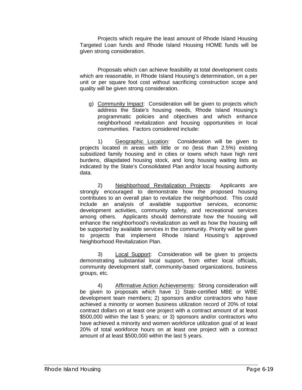Projects which require the least amount of Rhode Island Housing Targeted Loan funds and Rhode Island Housing HOME funds will be given strong consideration.

Proposals which can achieve feasibility at total development costs which are reasonable, in Rhode Island Housing's determination, on a per unit or per square foot cost without sacrificing construction scope and quality will be given strong consideration.

g) Community Impact: Consideration will be given to projects which address the State's housing needs, Rhode Island Housing's programmatic policies and objectives and which enhance neighborhood revitalization and housing opportunities in local communities. Factors considered include:

1) Geographic Location: Consideration will be given to projects located in areas with little or no (less than 2.5%) existing subsidized family housing and in cities or towns which have high rent burdens, dilapidated housing stock, and long housing waiting lists as indicated by the State's Consolidated Plan and/or local housing authority data.

2) Neighborhood Revitalization Projects: Applicants are strongly encouraged to demonstrate how the proposed housing contributes to an overall plan to revitalize the neighborhood. This could include an analysis of available supportive services, economic development activities, community safety, and recreational services among others. Applicants should demonstrate how the housing will enhance the neighborhood's revitalization as well as how the housing will be supported by available services in the community. Priority will be given to projects that implement Rhode Island Housing's approved Neighborhood Revitalization Plan.

3) Local Support: Consideration will be given to projects demonstrating substantial local support, from either local officials, community development staff, community-based organizations, business groups, etc.

4) Affirmative Action Achievements: Strong consideration will be given to proposals which have 1) State-certified MBE or WBE development team members; 2) sponsors and/or contractors who have achieved a minority or women business utilization record of 20% of total contract dollars on at least one project with a contract amount of at least \$500,000 within the last 5 years; or 3) sponsors and/or contractors who have achieved a minority and women workforce utilization goal of at least 20% of total workforce hours on at least one project with a contract amount of at least \$500,000 within the last 5 years.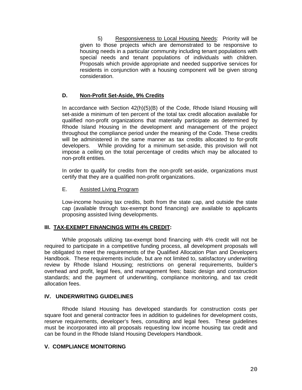5) Responsiveness to Local Housing Needs: Priority will be given to those projects which are demonstrated to be responsive to housing needs in a particular community including tenant populations with special needs and tenant populations of individuals with children. Proposals which provide appropriate and needed supportive services for residents in conjunction with a housing component will be given strong consideration.

#### **D. Non-Profit Set-Aside, 9% Credits**

In accordance with Section 42(h)(5)(B) of the Code, Rhode Island Housing will set-aside a minimum of ten percent of the total tax credit allocation available for qualified non-profit organizations that materially participate as determined by Rhode Island Housing in the development and management of the project throughout the compliance period under the meaning of the Code. These credits will be administered in the same manner as tax credits allocated to for-profit developers. While providing for a minimum set-aside, this provision will not impose a ceiling on the total percentage of credits which may be allocated to non-profit entities.

In order to qualify for credits from the non-profit set-aside, organizations must certify that they are a qualified non-profit organizations.

#### E. Assisted Living Program

Low-income housing tax credits, both from the state cap, and outside the state cap (available through tax-exempt bond financing) are available to applicants proposing assisted living developments.

#### **III. TAX-EXEMPT FINANCINGS WITH 4% CREDIT:**

While proposals utilizing tax-exempt bond financing with 4% credit will not be required to participate in a competitive funding process, all development proposals will be obligated to meet the requirements of the Qualified Allocation Plan and Developers Handbook. These requirements include, but are not limited to, satisfactory underwriting review by Rhode Island Housing; restrictions on general requirements, builder's overhead and profit, legal fees, and management fees; basic design and construction standards; and the payment of underwriting, compliance monitoring, and tax credit allocation fees.

#### **IV. UNDERWRITING GUIDELINES**

Rhode Island Housing has developed standards for construction costs per square foot and general contractor fees in addition to guidelines for development costs, reserve requirements, developer's fees, consulting and legal fees. These guidelines must be incorporated into all proposals requesting low income housing tax credit and can be found in the Rhode Island Housing Developers Handbook.

#### **V. COMPLIANCE MONITORING**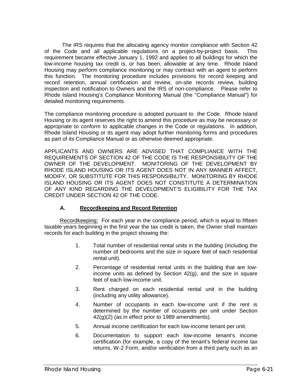The IRS requires that the allocating agency monitor compliance with Section 42 of the Code and all applicable regulations on a project-by-project basis. This requirement became effective January 1, 1992 and applies to all buildings for which the low-income housing tax credit is, or has been, allowable at any time. Rhode Island Housing may perform compliance monitoring or may contract with an agent to perform this function. The monitoring procedure includes provisions for record keeping and record retention, annual certification and review, on-site records review, building inspection and notification to Owners and the IRS of non-compliance. Please refer to Rhode Island Housing's Compliance Monitoring Manual (the "Compliance Manual") for detailed monitoring requirements.

The compliance monitoring procedure is adopted pursuant to the Code. Rhode Island Housing or its agent reserves the right to amend this procedure as may be necessary or appropriate to conform to applicable changes in the Code or regulations. In addition, Rhode Island Housing or its agent may adopt further monitoring forms and procedures as part of its Compliance Manual or as otherwise deemed appropriate.

APPLICANTS AND OWNERS ARE ADVISED THAT COMPLIANCE WITH THE REQUIREMENTS OF SECTION 42 OF THE CODE IS THE RESPONSIBILITY OF THE OWNER OF THE DEVELOPMENT. MONITORING OF THE DEVELOPMENT BY RHODE ISLAND HOUSING OR ITS AGENT DOES NOT IN ANY MANNER AFFECT, MODIFY, OR SUBSTITUTE FOR THIS RESPONSIBILITY. MONITORING BY RHODE ISLAND HOUSING OR ITS AGENT DOES NOT CONSTITUTE A DETERMINATION OF ANY KIND REGARDING THE DEVELOPMENT'S ELIGIBILITY FOR THE TAX CREDIT UNDER SECTION 42 OF THE CODE.

# **A. Recordkeeping and Record Retention**

Recordkeeping: For each year in the compliance period, which is equal to fifteen taxable years beginning in the first year the tax credit is taken, the Owner shall maintain records for each building in the project showing the:

- 1. Total number of residential rental units in the building (including the number of bedrooms and the size in square feet of each residential rental unit).
- 2. Percentage of residential rental units in the building that are lowincome units as defined by Section 42(g), and the size in square feet of each low-income unit.
- 3. Rent charged on each residential rental unit in the building (including any utility allowance).
- 4. Number of occupants in each low-income unit if the rent is determined by the number of occupants per unit under Section 42(g)(2) (as in effect prior to 1989 amendments).
- 5. Annual income certification for each low-income tenant per unit.
- 6. Documentation to support each low-income tenant's income certification (for example, a copy of the tenant's federal income tax returns, W-2 Form, and/or verification from a third party such as an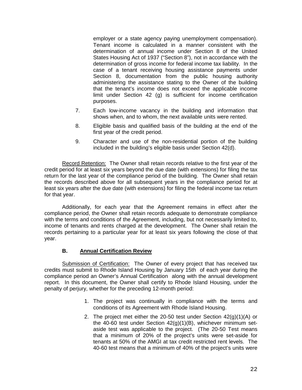employer or a state agency paying unemployment compensation). Tenant income is calculated in a manner consistent with the determination of annual income under Section 8 of the United States Housing Act of 1937 ("Section 8"), not in accordance with the determination of gross income for federal income tax liability. In the case of a tenant receiving housing assistance payments under Section 8, documentation from the public housing authority administering the assistance stating to the Owner of the building that the tenant's income does not exceed the applicable income limit under Section 42 (g) is sufficient for income certification purposes.

- 7. Each low-income vacancy in the building and information that shows when, and to whom, the next available units were rented.
- 8. Eligible basis and qualified basis of the building at the end of the first year of the credit period.
- 9. Character and use of the non-residential portion of the building included in the building's eligible basis under Section 42(d).

Record Retention: The Owner shall retain records relative to the first year of the credit period for at least six years beyond the due date (with extensions) for filing the tax return for the last year of the compliance period of the building. The Owner shall retain the records described above for all subsequent years in the compliance period for at least six years after the due date (with extensions) for filing the federal income tax return for that year.

Additionally, for each year that the Agreement remains in effect after the compliance period, the Owner shall retain records adequate to demonstrate compliance with the terms and conditions of the Agreement, including, but not necessarily limited to, income of tenants and rents charged at the development. The Owner shall retain the records pertaining to a particular year for at least six years following the close of that year.

#### **B. Annual Certification Review**

Submission of Certification: The Owner of every project that has received tax credits must submit to Rhode Island Housing by January 15th of each year during the compliance period an Owner's Annual Certification along with the annual development report. In this document, the Owner shall certify to Rhode Island Housing, under the penalty of perjury, whether for the preceding 12-month period:

- 1. The project was continually in compliance with the terms and conditions of its Agreement with Rhode Island Housing.
- 2. The project met either the 20-50 test under Section  $42(q)(1)(A)$  or the 40-60 test under Section 42(g)(1)(B), whichever minimum setaside test was applicable to the project. (The 20-50 Test means that a minimum of 20% of the project's units were set-aside for tenants at 50% of the AMGI at tax credit restricted rent levels. The 40-60 test means that a minimum of 40% of the project's units were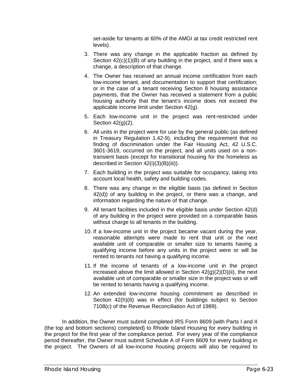set-aside for tenants at 60% of the AMGI at tax credit restricted rent levels).

- 3. There was any change in the applicable fraction as defined by Section 42(c)(1)(B) of any building in the project, and if there was a change, a description of that change.
- 4. The Owner has received an annual income certification from each low-income tenant, and documentation to support that certification; or in the case of a tenant receiving Section 8 housing assistance payments, that the Owner has received a statement from a public housing authority that the tenant's income does not exceed the applicable income limit under Section 42(g).
- 5. Each low-income unit in the project was rent-restricted under Section 42(g)(2).
- 6. All units in the project were for use by the general public (as defined in Treasury Regulation 1.42-9), including the requirement that no finding of discrimination under the Fair Housing Act, 42 U.S.C. 3601-3619, occurred on the project, and all units used on a nontransient basis (except for transitional housing for the homeless as described in Section 42(i)(3)(B)(iii)).
- 7. Each building in the project was suitable for occupancy, taking into account local health, safety and building codes.
- 8. There was any change in the eligible basis (as defined in Section 42(d)) of any building in the project, or there was a change, and information regarding the nature of that change.
- 9. All tenant facilities included in the eligible basis under Section 42(d) of any building in the project were provided on a comparable basis without charge to all tenants in the building.
- 10. If a low-income unit in the project became vacant during the year, reasonable attempts were made to rent that unit or the next available unit of comparable or smaller size to tenants having a qualifying income before any units in the project were or will be rented to tenants not having a qualifying income.
- 11. If the income of tenants of a low-income unit in the project increased above the limit allowed in Section  $42(q)(2)(D)(ii)$ , the next available unit of comparable or smaller size in the project was or will be rented to tenants having a qualifying income.
- 12. An extended low-income housing commitment as described in Section 42(h)(6) was in effect (for buildings subject to Section 7108(c) of the Revenue Reconciliation Act of 1989).

In addition, the Owner must submit completed IRS Form 8609 {with Parts I and II (the top and bottom sections) completed} to Rhode Island Housing for every building in the project for the first year of the compliance period. For every year of the compliance period thereafter, the Owner must submit Schedule A of Form 8609 for every building in the project. The Owners of all low-income housing projects will also be required to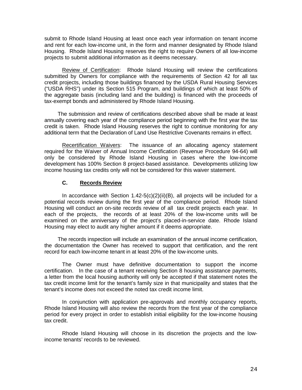submit to Rhode Island Housing at least once each year information on tenant income and rent for each low-income unit, in the form and manner designated by Rhode Island Housing. Rhode Island Housing reserves the right to require Owners of all low-income projects to submit additional information as it deems necessary.

Review of Certification: Rhode Island Housing will review the certifications submitted by Owners for compliance with the requirements of Section 42 for all tax credit projects, including those buildings financed by the USDA Rural Housing Services ("USDA RHS") under its Section 515 Program, and buildings of which at least 50% of the aggregate basis (including land and the building) is financed with the proceeds of tax-exempt bonds and administered by Rhode Island Housing.

The submission and review of certifications described above shall be made at least annually covering each year of the compliance period beginning with the first year the tax credit is taken. Rhode Island Housing reserves the right to continue monitoring for any additional term that the Declaration of Land Use Restrictive Covenants remains in effect.

Recertification Waivers: The issuance of an allocating agency statement required for the Waiver of Annual Income Certification (Revenue Procedure 94-64) will only be considered by Rhode Island Housing in cases where the low-income development has 100% Section 8 project-based assistance. Developments utilizing low income housing tax credits only will not be considered for this waiver statement.

#### **C. Records Review**

In accordance with Section  $1.42 - 5(c)(2)(ii)(B)$ , all projects will be included for a potential records review during the first year of the compliance period. Rhode Island Housing will conduct an on-site records review of all tax credit projects each year. In each of the projects, the records of at least 20% of the low-income units will be examined on the anniversary of the project's placed-in-service date. Rhode Island Housing may elect to audit any higher amount if it deems appropriate.

The records inspection will include an examination of the annual income certification, the documentation the Owner has received to support that certification, and the rent record for each low-income tenant in at least 20% of the low-income units.

The Owner must have definitive documentation to support the income certification. In the case of a tenant receiving Section 8 housing assistance payments, a letter from the local housing authority will only be accepted if that statement notes the tax credit income limit for the tenant's family size in that municipality and states that the tenant's income does not exceed the noted tax credit income limit.

In conjunction with application pre-approvals and monthly occupancy reports, Rhode Island Housing will also review the records from the first year of the compliance period for every project in order to establish initial eligibility for the low-income housing tax credit.

Rhode Island Housing will choose in its discretion the projects and the lowincome tenants' records to be reviewed.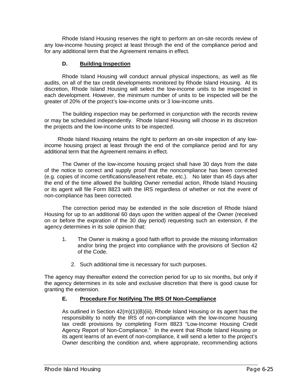Rhode Island Housing reserves the right to perform an on-site records review of any low-income housing project at least through the end of the compliance period and for any additional term that the Agreement remains in effect.

#### **D. Building Inspection**

Rhode Island Housing will conduct annual physical inspections, as well as file audits, on all of the tax credit developments monitored by Rhode Island Housing. At its discretion, Rhode Island Housing will select the low-income units to be inspected in each development. However, the minimum number of units to be inspected will be the greater of 20% of the project's low-income units or 3 low-income units.

The building inspection may be performed in conjunction with the records review or may be scheduled independently. Rhode Island Housing will choose in its discretion the projects and the low-income units to be inspected.

Rhode Island Housing retains the right to perform an on-site inspection of any lowincome housing project at least through the end of the compliance period and for any additional term that the Agreement remains in effect.

The Owner of the low-income housing project shall have 30 days from the date of the notice to correct and supply proof that the noncompliance has been corrected (e.g. copies of income certifications/lease/rent rebate, etc.). No later than 45 days after the end of the time allowed the building Owner remedial action, Rhode Island Housing or its agent will file Form 8823 with the IRS regardless of whether or not the event of non-compliance has been corrected.

The correction period may be extended in the sole discretion of Rhode Island Housing for up to an additional 60 days upon the written appeal of the Owner (received on or before the expiration of the 30 day period) requesting such an extension, if the agency determines in its sole opinion that:

- 1. The Owner is making a good faith effort to provide the missing information and/or bring the project into compliance with the provisions of Section 42 of the Code.
	- 2. Such additional time is necessary for such purposes.

The agency may thereafter extend the correction period for up to six months, but only if the agency determines in its sole and exclusive discretion that there is good cause for granting the extension.

# **E. Procedure For Notifying The IRS Of Non-Compliance**

As outlined in Section 42(m)(1)(B)(iii), Rhode Island Housing or its agent has the responsibility to notify the IRS of non-compliance with the low-income housing tax credit provisions by completing Form 8823 "Low-Income Housing Credit Agency Report of Non-Compliance." In the event that Rhode Island Housing or its agent learns of an event of non-compliance, it will send a letter to the project's Owner describing the condition and, where appropriate, recommending actions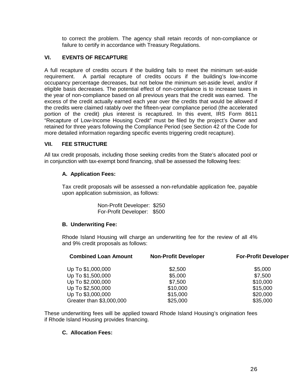to correct the problem. The agency shall retain records of non-compliance or failure to certify in accordance with Treasury Regulations.

#### **VI. EVENTS OF RECAPTURE**

A full recapture of credits occurs if the building fails to meet the minimum set-aside requirement. A partial recapture of credits occurs if the building's low-income occupancy percentage decreases, but not below the minimum set-aside level, and/or if eligible basis decreases. The potential effect of non-compliance is to increase taxes in the year of non-compliance based on all previous years that the credit was earned. The excess of the credit actually earned each year over the credits that would be allowed if the credits were claimed ratably over the fifteen-year compliance period (the accelerated portion of the credit) plus interest is recaptured. In this event, IRS Form 8611 "Recapture of Low-Income Housing Credit" must be filed by the project's Owner and retained for three years following the Compliance Period (see Section 42 of the Code for more detailed information regarding specific events triggering credit recapture).

#### **VII. FEE STRUCTURE**

All tax credit proposals, including those seeking credits from the State's allocated pool or in conjunction with tax-exempt bond financing, shall be assessed the following fees:

#### **A. Application Fees:**

Tax credit proposals will be assessed a non-refundable application fee, payable upon application submission, as follows:

> Non-Profit Developer: \$250 For-Profit Developer: \$500

#### **B. Underwriting Fee:**

Rhode Island Housing will charge an underwriting fee for the review of all 4% and 9% credit proposals as follows:

| <b>Combined Loan Amount</b> | <b>Non-Profit Developer</b> | <b>For-Profit Developer</b> |  |
|-----------------------------|-----------------------------|-----------------------------|--|
| Up To \$1,000,000           | \$2,500                     | \$5,000                     |  |
| Up To \$1,500,000           | \$5,000                     | \$7,500                     |  |
| Up To \$2,000,000           | \$7,500                     | \$10,000                    |  |
| Up To \$2,500,000           | \$10,000                    | \$15,000                    |  |
| Up To \$3,000,000           | \$15,000                    | \$20,000                    |  |
| Greater than \$3,000,000    | \$25,000                    | \$35,000                    |  |

These underwriting fees will be applied toward Rhode Island Housing's origination fees if Rhode Island Housing provides financing.

#### **C. Allocation Fees:**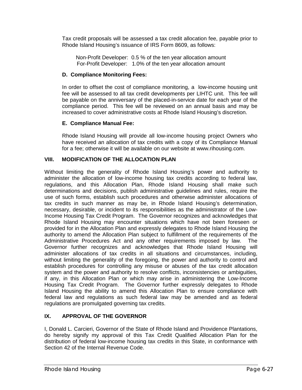Tax credit proposals will be assessed a tax credit allocation fee, payable prior to Rhode Island Housing's issuance of IRS Form 8609, as follows:

Non-Profit Developer: 0.5 % of the ten year allocation amount For-Profit Developer: 1.0% of the ten year allocation amount

# **D. Compliance Monitoring Fees:**

In order to offset the cost of compliance monitoring, a low-income housing unit fee will be assessed to all tax credit developments per LIHTC unit. This fee will be payable on the anniversary of the placed-in-service date for each year of the compliance period. This fee will be reviewed on an annual basis and may be increased to cover administrative costs at Rhode Island Housing's discretion.

# **E. Compliance Manual Fee:**

Rhode Island Housing will provide all low-income housing project Owners who have received an allocation of tax credits with a copy of its Compliance Manual for a fee; otherwise it will be available on our website at www.rihousing.com.

# **VIII. MODIFICATION OF THE ALLOCATION PLAN**

Without limiting the generality of Rhode Island Housing's power and authority to administer the allocation of low-income housing tax credits according to federal law, regulations, and this Allocation Plan, Rhode Island Housing shall make such determinations and decisions, publish administrative guidelines and rules, require the use of such forms, establish such procedures and otherwise administer allocations of tax credits in such manner as may be, in Rhode Island Housing's determination, necessary, desirable, or incident to its responsibilities as the administrator of the Low-Income Housing Tax Credit Program. The Governor recognizes and acknowledges that Rhode Island Housing may encounter situations which have not been foreseen or provided for in the Allocation Plan and expressly delegates to Rhode Island Housing the authority to amend the Allocation Plan subject to fulfillment of the requirements of the Administrative Procedures Act and any other requirements imposed by law. The Governor further recognizes and acknowledges that Rhode Island Housing will administer allocations of tax credits in all situations and circumstances, including, without limiting the generality of the foregoing, the power and authority to control and establish procedures for controlling any misuse or abuses of the tax credit allocation system and the power and authority to resolve conflicts, inconsistencies or ambiguities, if any, in this Allocation Plan or which may arise in administering the Low-Income Housing Tax Credit Program. The Governor further expressly delegates to Rhode Island Housing the ability to amend this Allocation Plan to ensure compliance with federal law and regulations as such federal law may be amended and as federal regulations are promulgated governing tax credits.

# **IX. APPROVAL OF THE GOVERNOR**

I, Donald L. Carcieri, Governor of the State of Rhode Island and Providence Plantations, do hereby signify my approval of this Tax Credit Qualified Allocation Plan for the distribution of federal low-income housing tax credits in this State, in conformance with Section 42 of the Internal Revenue Code.